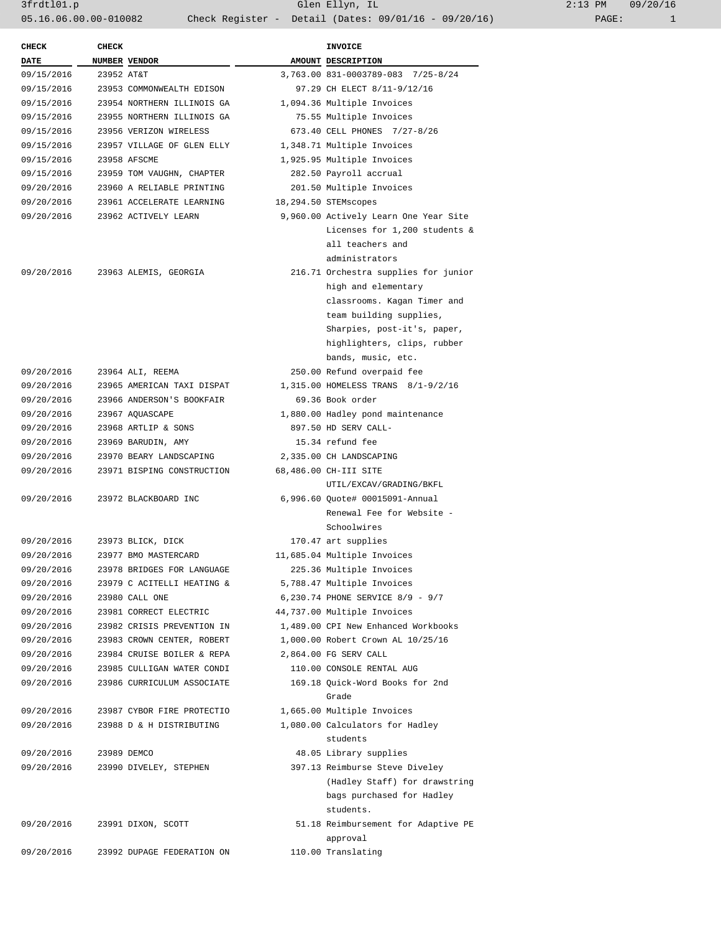| ?:13 PM |       | 09/20/16 |
|---------|-------|----------|
|         | PAGE: |          |

| NUMBER VENDOR<br><b>DATE</b><br>AMOUNT DESCRIPTION<br>23952 AT&T<br>09/15/2016<br>3,763.00 831-0003789-083 7/25-8/24<br>97.29 CH ELECT 8/11-9/12/16<br>09/15/2016<br>23953 COMMONWEALTH EDISON<br>09/15/2016<br>23954 NORTHERN ILLINOIS GA<br>1,094.36 Multiple Invoices<br>09/15/2016<br>23955 NORTHERN ILLINOIS GA<br>75.55 Multiple Invoices<br>09/15/2016<br>23956 VERIZON WIRELESS<br>673.40 CELL PHONES 7/27-8/26<br>09/15/2016<br>23957 VILLAGE OF GLEN ELLY<br>1,348.71 Multiple Invoices<br>09/15/2016<br>1,925.95 Multiple Invoices<br>23958 AFSCME<br>09/15/2016<br>23959 TOM VAUGHN, CHAPTER<br>282.50 Payroll accrual<br>09/20/2016<br>23960 A RELIABLE PRINTING<br>201.50 Multiple Invoices<br>09/20/2016<br>23961 ACCELERATE LEARNING<br>18,294.50 STEMscopes<br>09/20/2016<br>9,960.00 Actively Learn One Year Site<br>23962 ACTIVELY LEARN<br>Licenses for 1,200 students &<br>all teachers and<br>administrators<br>216.71 Orchestra supplies for junior<br>09/20/2016<br>23963 ALEMIS, GEORGIA<br>high and elementary<br>classrooms. Kagan Timer and<br>team building supplies,<br>Sharpies, post-it's, paper,<br>highlighters, clips, rubber<br>bands, music, etc.<br>09/20/2016<br>23964 ALI, REEMA<br>250.00 Refund overpaid fee<br>09/20/2016<br>23965 AMERICAN TAXI DISPAT<br>1,315.00 HOMELESS TRANS 8/1-9/2/16<br>09/20/2016<br>23966 ANDERSON'S BOOKFAIR<br>69.36 Book order<br>09/20/2016<br>1,880.00 Hadley pond maintenance<br>23967 AQUASCAPE<br>09/20/2016<br>23968 ARTLIP & SONS<br>897.50 HD SERV CALL-<br>09/20/2016<br>15.34 refund fee<br>23969 BARUDIN, AMY<br>09/20/2016<br>2,335.00 CH LANDSCAPING<br>23970 BEARY LANDSCAPING<br>09/20/2016<br>68,486.00 CH-III SITE<br>23971 BISPING CONSTRUCTION<br>UTIL/EXCAV/GRADING/BKFL<br>09/20/2016<br>23972 BLACKBOARD INC<br>6,996.60 Quote# 00015091-Annual<br>Renewal Fee for Website -<br>Schoolwires<br>09/20/2016<br>170.47 art supplies<br>23973 BLICK, DICK<br>09/20/2016<br>23977 BMO MASTERCARD<br>11,685.04 Multiple Invoices<br>09/20/2016<br>225.36 Multiple Invoices<br>23978 BRIDGES FOR LANGUAGE<br>5,788.47 Multiple Invoices<br>09/20/2016<br>23979 C ACITELLI HEATING &<br>23980 CALL ONE<br>6,230.74 PHONE SERVICE 8/9 - 9/7<br>09/20/2016<br>09/20/2016<br>23981 CORRECT ELECTRIC<br>44,737.00 Multiple Invoices<br>09/20/2016<br>1,489.00 CPI New Enhanced Workbooks<br>23982 CRISIS PREVENTION IN<br>09/20/2016<br>1,000.00 Robert Crown AL 10/25/16<br>23983 CROWN CENTER, ROBERT<br>09/20/2016<br>23984 CRUISE BOILER & REPA<br>2,864.00 FG SERV CALL<br>09/20/2016<br>23985 CULLIGAN WATER CONDI<br>110.00 CONSOLE RENTAL AUG<br>169.18 Quick-Word Books for 2nd<br>09/20/2016<br>23986 CURRICULUM ASSOCIATE<br>Grade<br>09/20/2016<br>23987 CYBOR FIRE PROTECTIO<br>1,665.00 Multiple Invoices<br>1,080.00 Calculators for Hadley<br>09/20/2016<br>23988 D & H DISTRIBUTING<br>students<br>09/20/2016<br>23989 DEMCO<br>48.05 Library supplies<br>397.13 Reimburse Steve Diveley<br>09/20/2016<br>23990 DIVELEY, STEPHEN<br>(Hadley Staff) for drawstring<br>bags purchased for Hadley<br>students.<br>51.18 Reimbursement for Adaptive PE<br>09/20/2016<br>23991 DIXON, SCOTT<br>approval<br>23992 DUPAGE FEDERATION ON<br>110.00 Translating<br>09/20/2016 | <b>CHECK</b> | <b>CHECK</b> |  | <b>INVOICE</b> |
|--------------------------------------------------------------------------------------------------------------------------------------------------------------------------------------------------------------------------------------------------------------------------------------------------------------------------------------------------------------------------------------------------------------------------------------------------------------------------------------------------------------------------------------------------------------------------------------------------------------------------------------------------------------------------------------------------------------------------------------------------------------------------------------------------------------------------------------------------------------------------------------------------------------------------------------------------------------------------------------------------------------------------------------------------------------------------------------------------------------------------------------------------------------------------------------------------------------------------------------------------------------------------------------------------------------------------------------------------------------------------------------------------------------------------------------------------------------------------------------------------------------------------------------------------------------------------------------------------------------------------------------------------------------------------------------------------------------------------------------------------------------------------------------------------------------------------------------------------------------------------------------------------------------------------------------------------------------------------------------------------------------------------------------------------------------------------------------------------------------------------------------------------------------------------------------------------------------------------------------------------------------------------------------------------------------------------------------------------------------------------------------------------------------------------------------------------------------------------------------------------------------------------------------------------------------------------------------------------------------------------------------------------------------------------------------------------------------------------------------------------------------------------------------------------------------------------------------------------------------------------------------------------------------------------------------------------------------------------------------------------------------------------------------------------------------------------------------------------------------------------------------------------------------------------------------------------------------------------------------------------------------------------|--------------|--------------|--|----------------|
|                                                                                                                                                                                                                                                                                                                                                                                                                                                                                                                                                                                                                                                                                                                                                                                                                                                                                                                                                                                                                                                                                                                                                                                                                                                                                                                                                                                                                                                                                                                                                                                                                                                                                                                                                                                                                                                                                                                                                                                                                                                                                                                                                                                                                                                                                                                                                                                                                                                                                                                                                                                                                                                                                                                                                                                                                                                                                                                                                                                                                                                                                                                                                                                                                                                                          |              |              |  |                |
|                                                                                                                                                                                                                                                                                                                                                                                                                                                                                                                                                                                                                                                                                                                                                                                                                                                                                                                                                                                                                                                                                                                                                                                                                                                                                                                                                                                                                                                                                                                                                                                                                                                                                                                                                                                                                                                                                                                                                                                                                                                                                                                                                                                                                                                                                                                                                                                                                                                                                                                                                                                                                                                                                                                                                                                                                                                                                                                                                                                                                                                                                                                                                                                                                                                                          |              |              |  |                |
|                                                                                                                                                                                                                                                                                                                                                                                                                                                                                                                                                                                                                                                                                                                                                                                                                                                                                                                                                                                                                                                                                                                                                                                                                                                                                                                                                                                                                                                                                                                                                                                                                                                                                                                                                                                                                                                                                                                                                                                                                                                                                                                                                                                                                                                                                                                                                                                                                                                                                                                                                                                                                                                                                                                                                                                                                                                                                                                                                                                                                                                                                                                                                                                                                                                                          |              |              |  |                |
|                                                                                                                                                                                                                                                                                                                                                                                                                                                                                                                                                                                                                                                                                                                                                                                                                                                                                                                                                                                                                                                                                                                                                                                                                                                                                                                                                                                                                                                                                                                                                                                                                                                                                                                                                                                                                                                                                                                                                                                                                                                                                                                                                                                                                                                                                                                                                                                                                                                                                                                                                                                                                                                                                                                                                                                                                                                                                                                                                                                                                                                                                                                                                                                                                                                                          |              |              |  |                |
|                                                                                                                                                                                                                                                                                                                                                                                                                                                                                                                                                                                                                                                                                                                                                                                                                                                                                                                                                                                                                                                                                                                                                                                                                                                                                                                                                                                                                                                                                                                                                                                                                                                                                                                                                                                                                                                                                                                                                                                                                                                                                                                                                                                                                                                                                                                                                                                                                                                                                                                                                                                                                                                                                                                                                                                                                                                                                                                                                                                                                                                                                                                                                                                                                                                                          |              |              |  |                |
|                                                                                                                                                                                                                                                                                                                                                                                                                                                                                                                                                                                                                                                                                                                                                                                                                                                                                                                                                                                                                                                                                                                                                                                                                                                                                                                                                                                                                                                                                                                                                                                                                                                                                                                                                                                                                                                                                                                                                                                                                                                                                                                                                                                                                                                                                                                                                                                                                                                                                                                                                                                                                                                                                                                                                                                                                                                                                                                                                                                                                                                                                                                                                                                                                                                                          |              |              |  |                |
|                                                                                                                                                                                                                                                                                                                                                                                                                                                                                                                                                                                                                                                                                                                                                                                                                                                                                                                                                                                                                                                                                                                                                                                                                                                                                                                                                                                                                                                                                                                                                                                                                                                                                                                                                                                                                                                                                                                                                                                                                                                                                                                                                                                                                                                                                                                                                                                                                                                                                                                                                                                                                                                                                                                                                                                                                                                                                                                                                                                                                                                                                                                                                                                                                                                                          |              |              |  |                |
|                                                                                                                                                                                                                                                                                                                                                                                                                                                                                                                                                                                                                                                                                                                                                                                                                                                                                                                                                                                                                                                                                                                                                                                                                                                                                                                                                                                                                                                                                                                                                                                                                                                                                                                                                                                                                                                                                                                                                                                                                                                                                                                                                                                                                                                                                                                                                                                                                                                                                                                                                                                                                                                                                                                                                                                                                                                                                                                                                                                                                                                                                                                                                                                                                                                                          |              |              |  |                |
|                                                                                                                                                                                                                                                                                                                                                                                                                                                                                                                                                                                                                                                                                                                                                                                                                                                                                                                                                                                                                                                                                                                                                                                                                                                                                                                                                                                                                                                                                                                                                                                                                                                                                                                                                                                                                                                                                                                                                                                                                                                                                                                                                                                                                                                                                                                                                                                                                                                                                                                                                                                                                                                                                                                                                                                                                                                                                                                                                                                                                                                                                                                                                                                                                                                                          |              |              |  |                |
|                                                                                                                                                                                                                                                                                                                                                                                                                                                                                                                                                                                                                                                                                                                                                                                                                                                                                                                                                                                                                                                                                                                                                                                                                                                                                                                                                                                                                                                                                                                                                                                                                                                                                                                                                                                                                                                                                                                                                                                                                                                                                                                                                                                                                                                                                                                                                                                                                                                                                                                                                                                                                                                                                                                                                                                                                                                                                                                                                                                                                                                                                                                                                                                                                                                                          |              |              |  |                |
|                                                                                                                                                                                                                                                                                                                                                                                                                                                                                                                                                                                                                                                                                                                                                                                                                                                                                                                                                                                                                                                                                                                                                                                                                                                                                                                                                                                                                                                                                                                                                                                                                                                                                                                                                                                                                                                                                                                                                                                                                                                                                                                                                                                                                                                                                                                                                                                                                                                                                                                                                                                                                                                                                                                                                                                                                                                                                                                                                                                                                                                                                                                                                                                                                                                                          |              |              |  |                |
|                                                                                                                                                                                                                                                                                                                                                                                                                                                                                                                                                                                                                                                                                                                                                                                                                                                                                                                                                                                                                                                                                                                                                                                                                                                                                                                                                                                                                                                                                                                                                                                                                                                                                                                                                                                                                                                                                                                                                                                                                                                                                                                                                                                                                                                                                                                                                                                                                                                                                                                                                                                                                                                                                                                                                                                                                                                                                                                                                                                                                                                                                                                                                                                                                                                                          |              |              |  |                |
|                                                                                                                                                                                                                                                                                                                                                                                                                                                                                                                                                                                                                                                                                                                                                                                                                                                                                                                                                                                                                                                                                                                                                                                                                                                                                                                                                                                                                                                                                                                                                                                                                                                                                                                                                                                                                                                                                                                                                                                                                                                                                                                                                                                                                                                                                                                                                                                                                                                                                                                                                                                                                                                                                                                                                                                                                                                                                                                                                                                                                                                                                                                                                                                                                                                                          |              |              |  |                |
|                                                                                                                                                                                                                                                                                                                                                                                                                                                                                                                                                                                                                                                                                                                                                                                                                                                                                                                                                                                                                                                                                                                                                                                                                                                                                                                                                                                                                                                                                                                                                                                                                                                                                                                                                                                                                                                                                                                                                                                                                                                                                                                                                                                                                                                                                                                                                                                                                                                                                                                                                                                                                                                                                                                                                                                                                                                                                                                                                                                                                                                                                                                                                                                                                                                                          |              |              |  |                |
|                                                                                                                                                                                                                                                                                                                                                                                                                                                                                                                                                                                                                                                                                                                                                                                                                                                                                                                                                                                                                                                                                                                                                                                                                                                                                                                                                                                                                                                                                                                                                                                                                                                                                                                                                                                                                                                                                                                                                                                                                                                                                                                                                                                                                                                                                                                                                                                                                                                                                                                                                                                                                                                                                                                                                                                                                                                                                                                                                                                                                                                                                                                                                                                                                                                                          |              |              |  |                |
|                                                                                                                                                                                                                                                                                                                                                                                                                                                                                                                                                                                                                                                                                                                                                                                                                                                                                                                                                                                                                                                                                                                                                                                                                                                                                                                                                                                                                                                                                                                                                                                                                                                                                                                                                                                                                                                                                                                                                                                                                                                                                                                                                                                                                                                                                                                                                                                                                                                                                                                                                                                                                                                                                                                                                                                                                                                                                                                                                                                                                                                                                                                                                                                                                                                                          |              |              |  |                |
|                                                                                                                                                                                                                                                                                                                                                                                                                                                                                                                                                                                                                                                                                                                                                                                                                                                                                                                                                                                                                                                                                                                                                                                                                                                                                                                                                                                                                                                                                                                                                                                                                                                                                                                                                                                                                                                                                                                                                                                                                                                                                                                                                                                                                                                                                                                                                                                                                                                                                                                                                                                                                                                                                                                                                                                                                                                                                                                                                                                                                                                                                                                                                                                                                                                                          |              |              |  |                |
|                                                                                                                                                                                                                                                                                                                                                                                                                                                                                                                                                                                                                                                                                                                                                                                                                                                                                                                                                                                                                                                                                                                                                                                                                                                                                                                                                                                                                                                                                                                                                                                                                                                                                                                                                                                                                                                                                                                                                                                                                                                                                                                                                                                                                                                                                                                                                                                                                                                                                                                                                                                                                                                                                                                                                                                                                                                                                                                                                                                                                                                                                                                                                                                                                                                                          |              |              |  |                |
|                                                                                                                                                                                                                                                                                                                                                                                                                                                                                                                                                                                                                                                                                                                                                                                                                                                                                                                                                                                                                                                                                                                                                                                                                                                                                                                                                                                                                                                                                                                                                                                                                                                                                                                                                                                                                                                                                                                                                                                                                                                                                                                                                                                                                                                                                                                                                                                                                                                                                                                                                                                                                                                                                                                                                                                                                                                                                                                                                                                                                                                                                                                                                                                                                                                                          |              |              |  |                |
|                                                                                                                                                                                                                                                                                                                                                                                                                                                                                                                                                                                                                                                                                                                                                                                                                                                                                                                                                                                                                                                                                                                                                                                                                                                                                                                                                                                                                                                                                                                                                                                                                                                                                                                                                                                                                                                                                                                                                                                                                                                                                                                                                                                                                                                                                                                                                                                                                                                                                                                                                                                                                                                                                                                                                                                                                                                                                                                                                                                                                                                                                                                                                                                                                                                                          |              |              |  |                |
|                                                                                                                                                                                                                                                                                                                                                                                                                                                                                                                                                                                                                                                                                                                                                                                                                                                                                                                                                                                                                                                                                                                                                                                                                                                                                                                                                                                                                                                                                                                                                                                                                                                                                                                                                                                                                                                                                                                                                                                                                                                                                                                                                                                                                                                                                                                                                                                                                                                                                                                                                                                                                                                                                                                                                                                                                                                                                                                                                                                                                                                                                                                                                                                                                                                                          |              |              |  |                |
|                                                                                                                                                                                                                                                                                                                                                                                                                                                                                                                                                                                                                                                                                                                                                                                                                                                                                                                                                                                                                                                                                                                                                                                                                                                                                                                                                                                                                                                                                                                                                                                                                                                                                                                                                                                                                                                                                                                                                                                                                                                                                                                                                                                                                                                                                                                                                                                                                                                                                                                                                                                                                                                                                                                                                                                                                                                                                                                                                                                                                                                                                                                                                                                                                                                                          |              |              |  |                |
|                                                                                                                                                                                                                                                                                                                                                                                                                                                                                                                                                                                                                                                                                                                                                                                                                                                                                                                                                                                                                                                                                                                                                                                                                                                                                                                                                                                                                                                                                                                                                                                                                                                                                                                                                                                                                                                                                                                                                                                                                                                                                                                                                                                                                                                                                                                                                                                                                                                                                                                                                                                                                                                                                                                                                                                                                                                                                                                                                                                                                                                                                                                                                                                                                                                                          |              |              |  |                |
|                                                                                                                                                                                                                                                                                                                                                                                                                                                                                                                                                                                                                                                                                                                                                                                                                                                                                                                                                                                                                                                                                                                                                                                                                                                                                                                                                                                                                                                                                                                                                                                                                                                                                                                                                                                                                                                                                                                                                                                                                                                                                                                                                                                                                                                                                                                                                                                                                                                                                                                                                                                                                                                                                                                                                                                                                                                                                                                                                                                                                                                                                                                                                                                                                                                                          |              |              |  |                |
|                                                                                                                                                                                                                                                                                                                                                                                                                                                                                                                                                                                                                                                                                                                                                                                                                                                                                                                                                                                                                                                                                                                                                                                                                                                                                                                                                                                                                                                                                                                                                                                                                                                                                                                                                                                                                                                                                                                                                                                                                                                                                                                                                                                                                                                                                                                                                                                                                                                                                                                                                                                                                                                                                                                                                                                                                                                                                                                                                                                                                                                                                                                                                                                                                                                                          |              |              |  |                |
|                                                                                                                                                                                                                                                                                                                                                                                                                                                                                                                                                                                                                                                                                                                                                                                                                                                                                                                                                                                                                                                                                                                                                                                                                                                                                                                                                                                                                                                                                                                                                                                                                                                                                                                                                                                                                                                                                                                                                                                                                                                                                                                                                                                                                                                                                                                                                                                                                                                                                                                                                                                                                                                                                                                                                                                                                                                                                                                                                                                                                                                                                                                                                                                                                                                                          |              |              |  |                |
|                                                                                                                                                                                                                                                                                                                                                                                                                                                                                                                                                                                                                                                                                                                                                                                                                                                                                                                                                                                                                                                                                                                                                                                                                                                                                                                                                                                                                                                                                                                                                                                                                                                                                                                                                                                                                                                                                                                                                                                                                                                                                                                                                                                                                                                                                                                                                                                                                                                                                                                                                                                                                                                                                                                                                                                                                                                                                                                                                                                                                                                                                                                                                                                                                                                                          |              |              |  |                |
|                                                                                                                                                                                                                                                                                                                                                                                                                                                                                                                                                                                                                                                                                                                                                                                                                                                                                                                                                                                                                                                                                                                                                                                                                                                                                                                                                                                                                                                                                                                                                                                                                                                                                                                                                                                                                                                                                                                                                                                                                                                                                                                                                                                                                                                                                                                                                                                                                                                                                                                                                                                                                                                                                                                                                                                                                                                                                                                                                                                                                                                                                                                                                                                                                                                                          |              |              |  |                |
|                                                                                                                                                                                                                                                                                                                                                                                                                                                                                                                                                                                                                                                                                                                                                                                                                                                                                                                                                                                                                                                                                                                                                                                                                                                                                                                                                                                                                                                                                                                                                                                                                                                                                                                                                                                                                                                                                                                                                                                                                                                                                                                                                                                                                                                                                                                                                                                                                                                                                                                                                                                                                                                                                                                                                                                                                                                                                                                                                                                                                                                                                                                                                                                                                                                                          |              |              |  |                |
|                                                                                                                                                                                                                                                                                                                                                                                                                                                                                                                                                                                                                                                                                                                                                                                                                                                                                                                                                                                                                                                                                                                                                                                                                                                                                                                                                                                                                                                                                                                                                                                                                                                                                                                                                                                                                                                                                                                                                                                                                                                                                                                                                                                                                                                                                                                                                                                                                                                                                                                                                                                                                                                                                                                                                                                                                                                                                                                                                                                                                                                                                                                                                                                                                                                                          |              |              |  |                |
|                                                                                                                                                                                                                                                                                                                                                                                                                                                                                                                                                                                                                                                                                                                                                                                                                                                                                                                                                                                                                                                                                                                                                                                                                                                                                                                                                                                                                                                                                                                                                                                                                                                                                                                                                                                                                                                                                                                                                                                                                                                                                                                                                                                                                                                                                                                                                                                                                                                                                                                                                                                                                                                                                                                                                                                                                                                                                                                                                                                                                                                                                                                                                                                                                                                                          |              |              |  |                |
|                                                                                                                                                                                                                                                                                                                                                                                                                                                                                                                                                                                                                                                                                                                                                                                                                                                                                                                                                                                                                                                                                                                                                                                                                                                                                                                                                                                                                                                                                                                                                                                                                                                                                                                                                                                                                                                                                                                                                                                                                                                                                                                                                                                                                                                                                                                                                                                                                                                                                                                                                                                                                                                                                                                                                                                                                                                                                                                                                                                                                                                                                                                                                                                                                                                                          |              |              |  |                |
|                                                                                                                                                                                                                                                                                                                                                                                                                                                                                                                                                                                                                                                                                                                                                                                                                                                                                                                                                                                                                                                                                                                                                                                                                                                                                                                                                                                                                                                                                                                                                                                                                                                                                                                                                                                                                                                                                                                                                                                                                                                                                                                                                                                                                                                                                                                                                                                                                                                                                                                                                                                                                                                                                                                                                                                                                                                                                                                                                                                                                                                                                                                                                                                                                                                                          |              |              |  |                |
|                                                                                                                                                                                                                                                                                                                                                                                                                                                                                                                                                                                                                                                                                                                                                                                                                                                                                                                                                                                                                                                                                                                                                                                                                                                                                                                                                                                                                                                                                                                                                                                                                                                                                                                                                                                                                                                                                                                                                                                                                                                                                                                                                                                                                                                                                                                                                                                                                                                                                                                                                                                                                                                                                                                                                                                                                                                                                                                                                                                                                                                                                                                                                                                                                                                                          |              |              |  |                |
|                                                                                                                                                                                                                                                                                                                                                                                                                                                                                                                                                                                                                                                                                                                                                                                                                                                                                                                                                                                                                                                                                                                                                                                                                                                                                                                                                                                                                                                                                                                                                                                                                                                                                                                                                                                                                                                                                                                                                                                                                                                                                                                                                                                                                                                                                                                                                                                                                                                                                                                                                                                                                                                                                                                                                                                                                                                                                                                                                                                                                                                                                                                                                                                                                                                                          |              |              |  |                |
|                                                                                                                                                                                                                                                                                                                                                                                                                                                                                                                                                                                                                                                                                                                                                                                                                                                                                                                                                                                                                                                                                                                                                                                                                                                                                                                                                                                                                                                                                                                                                                                                                                                                                                                                                                                                                                                                                                                                                                                                                                                                                                                                                                                                                                                                                                                                                                                                                                                                                                                                                                                                                                                                                                                                                                                                                                                                                                                                                                                                                                                                                                                                                                                                                                                                          |              |              |  |                |
|                                                                                                                                                                                                                                                                                                                                                                                                                                                                                                                                                                                                                                                                                                                                                                                                                                                                                                                                                                                                                                                                                                                                                                                                                                                                                                                                                                                                                                                                                                                                                                                                                                                                                                                                                                                                                                                                                                                                                                                                                                                                                                                                                                                                                                                                                                                                                                                                                                                                                                                                                                                                                                                                                                                                                                                                                                                                                                                                                                                                                                                                                                                                                                                                                                                                          |              |              |  |                |
|                                                                                                                                                                                                                                                                                                                                                                                                                                                                                                                                                                                                                                                                                                                                                                                                                                                                                                                                                                                                                                                                                                                                                                                                                                                                                                                                                                                                                                                                                                                                                                                                                                                                                                                                                                                                                                                                                                                                                                                                                                                                                                                                                                                                                                                                                                                                                                                                                                                                                                                                                                                                                                                                                                                                                                                                                                                                                                                                                                                                                                                                                                                                                                                                                                                                          |              |              |  |                |
|                                                                                                                                                                                                                                                                                                                                                                                                                                                                                                                                                                                                                                                                                                                                                                                                                                                                                                                                                                                                                                                                                                                                                                                                                                                                                                                                                                                                                                                                                                                                                                                                                                                                                                                                                                                                                                                                                                                                                                                                                                                                                                                                                                                                                                                                                                                                                                                                                                                                                                                                                                                                                                                                                                                                                                                                                                                                                                                                                                                                                                                                                                                                                                                                                                                                          |              |              |  |                |
|                                                                                                                                                                                                                                                                                                                                                                                                                                                                                                                                                                                                                                                                                                                                                                                                                                                                                                                                                                                                                                                                                                                                                                                                                                                                                                                                                                                                                                                                                                                                                                                                                                                                                                                                                                                                                                                                                                                                                                                                                                                                                                                                                                                                                                                                                                                                                                                                                                                                                                                                                                                                                                                                                                                                                                                                                                                                                                                                                                                                                                                                                                                                                                                                                                                                          |              |              |  |                |
|                                                                                                                                                                                                                                                                                                                                                                                                                                                                                                                                                                                                                                                                                                                                                                                                                                                                                                                                                                                                                                                                                                                                                                                                                                                                                                                                                                                                                                                                                                                                                                                                                                                                                                                                                                                                                                                                                                                                                                                                                                                                                                                                                                                                                                                                                                                                                                                                                                                                                                                                                                                                                                                                                                                                                                                                                                                                                                                                                                                                                                                                                                                                                                                                                                                                          |              |              |  |                |
|                                                                                                                                                                                                                                                                                                                                                                                                                                                                                                                                                                                                                                                                                                                                                                                                                                                                                                                                                                                                                                                                                                                                                                                                                                                                                                                                                                                                                                                                                                                                                                                                                                                                                                                                                                                                                                                                                                                                                                                                                                                                                                                                                                                                                                                                                                                                                                                                                                                                                                                                                                                                                                                                                                                                                                                                                                                                                                                                                                                                                                                                                                                                                                                                                                                                          |              |              |  |                |
|                                                                                                                                                                                                                                                                                                                                                                                                                                                                                                                                                                                                                                                                                                                                                                                                                                                                                                                                                                                                                                                                                                                                                                                                                                                                                                                                                                                                                                                                                                                                                                                                                                                                                                                                                                                                                                                                                                                                                                                                                                                                                                                                                                                                                                                                                                                                                                                                                                                                                                                                                                                                                                                                                                                                                                                                                                                                                                                                                                                                                                                                                                                                                                                                                                                                          |              |              |  |                |
|                                                                                                                                                                                                                                                                                                                                                                                                                                                                                                                                                                                                                                                                                                                                                                                                                                                                                                                                                                                                                                                                                                                                                                                                                                                                                                                                                                                                                                                                                                                                                                                                                                                                                                                                                                                                                                                                                                                                                                                                                                                                                                                                                                                                                                                                                                                                                                                                                                                                                                                                                                                                                                                                                                                                                                                                                                                                                                                                                                                                                                                                                                                                                                                                                                                                          |              |              |  |                |
|                                                                                                                                                                                                                                                                                                                                                                                                                                                                                                                                                                                                                                                                                                                                                                                                                                                                                                                                                                                                                                                                                                                                                                                                                                                                                                                                                                                                                                                                                                                                                                                                                                                                                                                                                                                                                                                                                                                                                                                                                                                                                                                                                                                                                                                                                                                                                                                                                                                                                                                                                                                                                                                                                                                                                                                                                                                                                                                                                                                                                                                                                                                                                                                                                                                                          |              |              |  |                |
|                                                                                                                                                                                                                                                                                                                                                                                                                                                                                                                                                                                                                                                                                                                                                                                                                                                                                                                                                                                                                                                                                                                                                                                                                                                                                                                                                                                                                                                                                                                                                                                                                                                                                                                                                                                                                                                                                                                                                                                                                                                                                                                                                                                                                                                                                                                                                                                                                                                                                                                                                                                                                                                                                                                                                                                                                                                                                                                                                                                                                                                                                                                                                                                                                                                                          |              |              |  |                |
|                                                                                                                                                                                                                                                                                                                                                                                                                                                                                                                                                                                                                                                                                                                                                                                                                                                                                                                                                                                                                                                                                                                                                                                                                                                                                                                                                                                                                                                                                                                                                                                                                                                                                                                                                                                                                                                                                                                                                                                                                                                                                                                                                                                                                                                                                                                                                                                                                                                                                                                                                                                                                                                                                                                                                                                                                                                                                                                                                                                                                                                                                                                                                                                                                                                                          |              |              |  |                |
|                                                                                                                                                                                                                                                                                                                                                                                                                                                                                                                                                                                                                                                                                                                                                                                                                                                                                                                                                                                                                                                                                                                                                                                                                                                                                                                                                                                                                                                                                                                                                                                                                                                                                                                                                                                                                                                                                                                                                                                                                                                                                                                                                                                                                                                                                                                                                                                                                                                                                                                                                                                                                                                                                                                                                                                                                                                                                                                                                                                                                                                                                                                                                                                                                                                                          |              |              |  |                |
|                                                                                                                                                                                                                                                                                                                                                                                                                                                                                                                                                                                                                                                                                                                                                                                                                                                                                                                                                                                                                                                                                                                                                                                                                                                                                                                                                                                                                                                                                                                                                                                                                                                                                                                                                                                                                                                                                                                                                                                                                                                                                                                                                                                                                                                                                                                                                                                                                                                                                                                                                                                                                                                                                                                                                                                                                                                                                                                                                                                                                                                                                                                                                                                                                                                                          |              |              |  |                |
|                                                                                                                                                                                                                                                                                                                                                                                                                                                                                                                                                                                                                                                                                                                                                                                                                                                                                                                                                                                                                                                                                                                                                                                                                                                                                                                                                                                                                                                                                                                                                                                                                                                                                                                                                                                                                                                                                                                                                                                                                                                                                                                                                                                                                                                                                                                                                                                                                                                                                                                                                                                                                                                                                                                                                                                                                                                                                                                                                                                                                                                                                                                                                                                                                                                                          |              |              |  |                |
|                                                                                                                                                                                                                                                                                                                                                                                                                                                                                                                                                                                                                                                                                                                                                                                                                                                                                                                                                                                                                                                                                                                                                                                                                                                                                                                                                                                                                                                                                                                                                                                                                                                                                                                                                                                                                                                                                                                                                                                                                                                                                                                                                                                                                                                                                                                                                                                                                                                                                                                                                                                                                                                                                                                                                                                                                                                                                                                                                                                                                                                                                                                                                                                                                                                                          |              |              |  |                |
|                                                                                                                                                                                                                                                                                                                                                                                                                                                                                                                                                                                                                                                                                                                                                                                                                                                                                                                                                                                                                                                                                                                                                                                                                                                                                                                                                                                                                                                                                                                                                                                                                                                                                                                                                                                                                                                                                                                                                                                                                                                                                                                                                                                                                                                                                                                                                                                                                                                                                                                                                                                                                                                                                                                                                                                                                                                                                                                                                                                                                                                                                                                                                                                                                                                                          |              |              |  |                |
|                                                                                                                                                                                                                                                                                                                                                                                                                                                                                                                                                                                                                                                                                                                                                                                                                                                                                                                                                                                                                                                                                                                                                                                                                                                                                                                                                                                                                                                                                                                                                                                                                                                                                                                                                                                                                                                                                                                                                                                                                                                                                                                                                                                                                                                                                                                                                                                                                                                                                                                                                                                                                                                                                                                                                                                                                                                                                                                                                                                                                                                                                                                                                                                                                                                                          |              |              |  |                |
|                                                                                                                                                                                                                                                                                                                                                                                                                                                                                                                                                                                                                                                                                                                                                                                                                                                                                                                                                                                                                                                                                                                                                                                                                                                                                                                                                                                                                                                                                                                                                                                                                                                                                                                                                                                                                                                                                                                                                                                                                                                                                                                                                                                                                                                                                                                                                                                                                                                                                                                                                                                                                                                                                                                                                                                                                                                                                                                                                                                                                                                                                                                                                                                                                                                                          |              |              |  |                |
|                                                                                                                                                                                                                                                                                                                                                                                                                                                                                                                                                                                                                                                                                                                                                                                                                                                                                                                                                                                                                                                                                                                                                                                                                                                                                                                                                                                                                                                                                                                                                                                                                                                                                                                                                                                                                                                                                                                                                                                                                                                                                                                                                                                                                                                                                                                                                                                                                                                                                                                                                                                                                                                                                                                                                                                                                                                                                                                                                                                                                                                                                                                                                                                                                                                                          |              |              |  |                |
|                                                                                                                                                                                                                                                                                                                                                                                                                                                                                                                                                                                                                                                                                                                                                                                                                                                                                                                                                                                                                                                                                                                                                                                                                                                                                                                                                                                                                                                                                                                                                                                                                                                                                                                                                                                                                                                                                                                                                                                                                                                                                                                                                                                                                                                                                                                                                                                                                                                                                                                                                                                                                                                                                                                                                                                                                                                                                                                                                                                                                                                                                                                                                                                                                                                                          |              |              |  |                |
|                                                                                                                                                                                                                                                                                                                                                                                                                                                                                                                                                                                                                                                                                                                                                                                                                                                                                                                                                                                                                                                                                                                                                                                                                                                                                                                                                                                                                                                                                                                                                                                                                                                                                                                                                                                                                                                                                                                                                                                                                                                                                                                                                                                                                                                                                                                                                                                                                                                                                                                                                                                                                                                                                                                                                                                                                                                                                                                                                                                                                                                                                                                                                                                                                                                                          |              |              |  |                |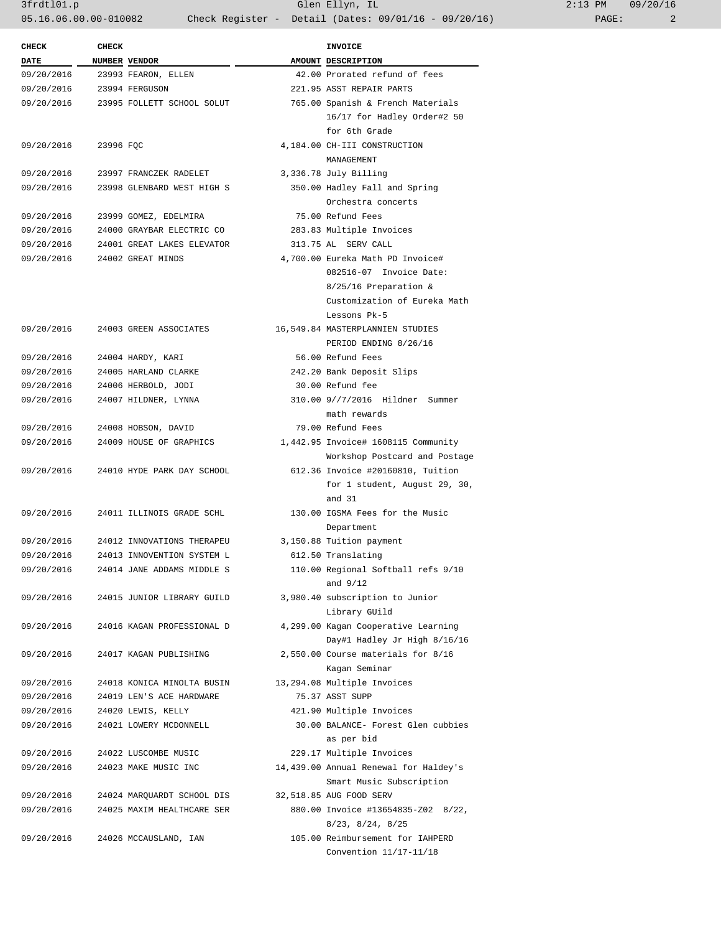3frdtl01.p Glen Ellyn, IL 2:13 PM 09/20/16 05.16.06.00.00-010082 Check Register - Detail (Dates: 09/01/16 - 09/20/16) PAGE: 2

| <b>CHECK</b> | <b>CHECK</b> |                            | <b>INVOICE</b>                        |
|--------------|--------------|----------------------------|---------------------------------------|
| <b>DATE</b>  |              | NUMBER VENDOR              | AMOUNT DESCRIPTION                    |
| 09/20/2016   |              | 23993 FEARON, ELLEN        | 42.00 Prorated refund of fees         |
| 09/20/2016   |              | 23994 FERGUSON             | 221.95 ASST REPAIR PARTS              |
| 09/20/2016   |              | 23995 FOLLETT SCHOOL SOLUT | 765.00 Spanish & French Materials     |
|              |              |                            | 16/17 for Hadley Order#2 50           |
|              |              |                            | for 6th Grade                         |
| 09/20/2016   | 23996 FQC    |                            | 4,184.00 CH-III CONSTRUCTION          |
|              |              |                            | MANAGEMENT                            |
| 09/20/2016   |              | 23997 FRANCZEK RADELET     | 3,336.78 July Billing                 |
| 09/20/2016   |              | 23998 GLENBARD WEST HIGH S | 350.00 Hadley Fall and Spring         |
|              |              |                            | Orchestra concerts                    |
| 09/20/2016   |              | 23999 GOMEZ, EDELMIRA      | 75.00 Refund Fees                     |
| 09/20/2016   |              | 24000 GRAYBAR ELECTRIC CO  | 283.83 Multiple Invoices              |
| 09/20/2016   |              | 24001 GREAT LAKES ELEVATOR | 313.75 AL SERV CALL                   |
| 09/20/2016   |              | 24002 GREAT MINDS          | 4,700.00 Eureka Math PD Invoice#      |
|              |              |                            | 082516-07 Invoice Date:               |
|              |              |                            | 8/25/16 Preparation &                 |
|              |              |                            | Customization of Eureka Math          |
|              |              |                            | Lessons Pk-5                          |
| 09/20/2016   |              | 24003 GREEN ASSOCIATES     | 16,549.84 MASTERPLANNIEN STUDIES      |
|              |              |                            | PERIOD ENDING 8/26/16                 |
| 09/20/2016   |              | 24004 HARDY, KARI          | 56.00 Refund Fees                     |
| 09/20/2016   |              | 24005 HARLAND CLARKE       | 242.20 Bank Deposit Slips             |
| 09/20/2016   |              | 24006 HERBOLD, JODI        | 30.00 Refund fee                      |
| 09/20/2016   |              | 24007 HILDNER, LYNNA       | 310.00 9//7/2016 Hildner Summer       |
|              |              |                            | math rewards                          |
| 09/20/2016   |              | 24008 HOBSON, DAVID        | 79.00 Refund Fees                     |
| 09/20/2016   |              | 24009 HOUSE OF GRAPHICS    | 1,442.95 Invoice# 1608115 Community   |
|              |              |                            | Workshop Postcard and Postage         |
| 09/20/2016   |              | 24010 HYDE PARK DAY SCHOOL | 612.36 Invoice #20160810, Tuition     |
|              |              |                            | for 1 student, August 29, 30,         |
|              |              |                            | and 31                                |
| 09/20/2016   |              | 24011 ILLINOIS GRADE SCHL  | 130.00 IGSMA Fees for the Music       |
|              |              |                            | Department                            |
| 09/20/2016   |              | 24012 INNOVATIONS THERAPEU | 3,150.88 Tuition payment              |
| 09/20/2016   |              | 24013 INNOVENTION SYSTEM L | 612.50 Translating                    |
| 09/20/2016   |              | 24014 JANE ADDAMS MIDDLE S | 110.00 Regional Softball refs 9/10    |
|              |              |                            | and $9/12$                            |
| 09/20/2016   |              | 24015 JUNIOR LIBRARY GUILD | 3,980.40 subscription to Junior       |
|              |              |                            |                                       |
|              |              |                            | Library GUild                         |
| 09/20/2016   |              | 24016 KAGAN PROFESSIONAL D | 4,299.00 Kagan Cooperative Learning   |
|              |              |                            | Day#1 Hadley Jr High 8/16/16          |
| 09/20/2016   |              | 24017 KAGAN PUBLISHING     | 2,550.00 Course materials for 8/16    |
|              |              |                            | Kagan Seminar                         |
| 09/20/2016   |              | 24018 KONICA MINOLTA BUSIN | 13,294.08 Multiple Invoices           |
| 09/20/2016   |              | 24019 LEN'S ACE HARDWARE   | 75.37 ASST SUPP                       |
| 09/20/2016   |              | 24020 LEWIS, KELLY         | 421.90 Multiple Invoices              |
| 09/20/2016   |              | 24021 LOWERY MCDONNELL     | 30.00 BALANCE- Forest Glen cubbies    |
|              |              |                            | as per bid                            |
| 09/20/2016   |              | 24022 LUSCOMBE MUSIC       | 229.17 Multiple Invoices              |
| 09/20/2016   |              | 24023 MAKE MUSIC INC       | 14,439.00 Annual Renewal for Haldey's |
|              |              |                            | Smart Music Subscription              |
| 09/20/2016   |              | 24024 MARQUARDT SCHOOL DIS | 32,518.85 AUG FOOD SERV               |
| 09/20/2016   |              | 24025 MAXIM HEALTHCARE SER | 880.00 Invoice #13654835-Z02 8/22,    |
|              |              |                            | 8/23, 8/24, 8/25                      |
| 09/20/2016   |              | 24026 MCCAUSLAND, IAN      | 105.00 Reimbursement for IAHPERD      |
|              |              |                            | Convention 11/17-11/18                |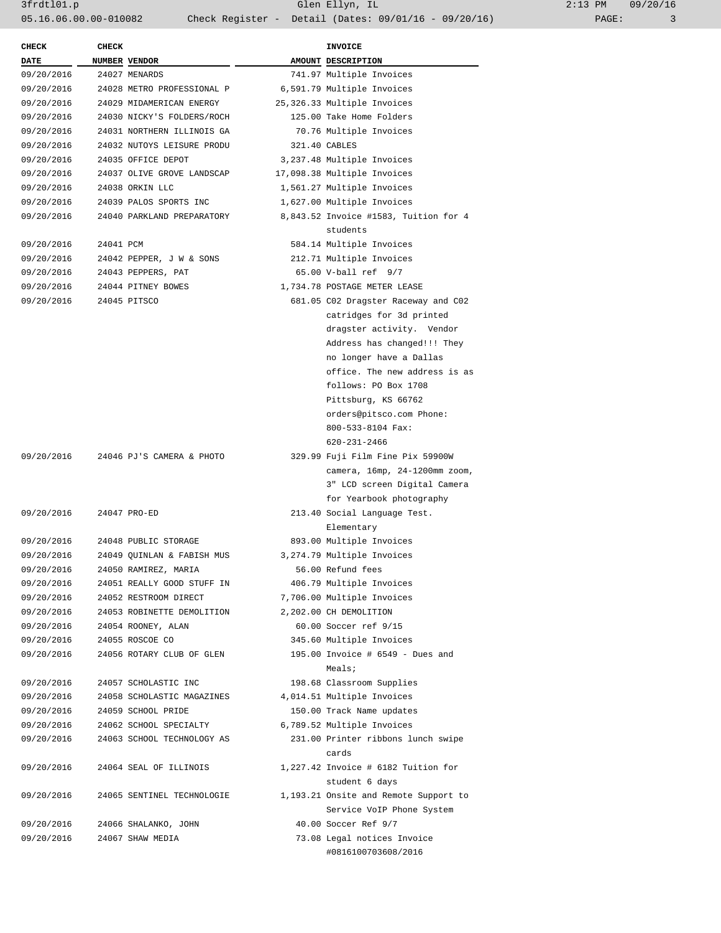| <b>CHECK</b> | CHECK     |                            | <b>INVOICE</b>                        |
|--------------|-----------|----------------------------|---------------------------------------|
| DATE         |           | NUMBER VENDOR              | AMOUNT DESCRIPTION                    |
| 09/20/2016   |           | 24027 MENARDS              | 741.97 Multiple Invoices              |
| 09/20/2016   |           | 24028 METRO PROFESSIONAL P | 6,591.79 Multiple Invoices            |
| 09/20/2016   |           | 24029 MIDAMERICAN ENERGY   | 25,326.33 Multiple Invoices           |
| 09/20/2016   |           | 24030 NICKY'S FOLDERS/ROCH | 125.00 Take Home Folders              |
| 09/20/2016   |           | 24031 NORTHERN ILLINOIS GA | 70.76 Multiple Invoices               |
| 09/20/2016   |           | 24032 NUTOYS LEISURE PRODU | 321.40 CABLES                         |
| 09/20/2016   |           | 24035 OFFICE DEPOT         | 3,237.48 Multiple Invoices            |
| 09/20/2016   |           | 24037 OLIVE GROVE LANDSCAP | 17,098.38 Multiple Invoices           |
| 09/20/2016   |           | 24038 ORKIN LLC            | 1,561.27 Multiple Invoices            |
| 09/20/2016   |           | 24039 PALOS SPORTS INC     | 1,627.00 Multiple Invoices            |
| 09/20/2016   |           | 24040 PARKLAND PREPARATORY | 8,843.52 Invoice #1583, Tuition for 4 |
|              |           |                            | students                              |
| 09/20/2016   | 24041 PCM |                            | 584.14 Multiple Invoices              |
| 09/20/2016   |           | 24042 PEPPER, J W & SONS   | 212.71 Multiple Invoices              |
| 09/20/2016   |           | 24043 PEPPERS, PAT         | 65.00 V-ball ref 9/7                  |
| 09/20/2016   |           | 24044 PITNEY BOWES         | 1,734.78 POSTAGE METER LEASE          |
| 09/20/2016   |           | 24045 PITSCO               | 681.05 C02 Dragster Raceway and C02   |
|              |           |                            | catridges for 3d printed              |
|              |           |                            |                                       |
|              |           |                            | dragster activity. Vendor             |
|              |           |                            | Address has changed!!! They           |
|              |           |                            | no longer have a Dallas               |
|              |           |                            | office. The new address is as         |
|              |           |                            | follows: PO Box 1708                  |
|              |           |                            | Pittsburg, KS 66762                   |
|              |           |                            | orders@pitsco.com Phone:              |
|              |           |                            | 800-533-8104 Fax:                     |
|              |           |                            | 620-231-2466                          |
| 09/20/2016   |           | 24046 PJ'S CAMERA & PHOTO  | 329.99 Fuji Film Fine Pix 59900W      |
|              |           |                            | camera, 16mp, 24-1200mm zoom,         |
|              |           |                            | 3" LCD screen Digital Camera          |
|              |           |                            | for Yearbook photography              |
| 09/20/2016   |           | 24047 PRO-ED               | 213.40 Social Language Test.          |
|              |           |                            | Elementary                            |
| 09/20/2016   |           | 24048 PUBLIC STORAGE       | 893.00 Multiple Invoices              |
| 09/20/2016   |           | 24049 OUINLAN & FABISH MUS | 3,274.79 Multiple Invoices            |
| 09/20/2016   |           | 24050 RAMIREZ, MARIA       | 56.00 Refund fees                     |
| 09/20/2016   |           | 24051 REALLY GOOD STUFF IN | 406.79 Multiple Invoices              |
| 09/20/2016   |           | 24052 RESTROOM DIRECT      | 7,706.00 Multiple Invoices            |
| 09/20/2016   |           | 24053 ROBINETTE DEMOLITION | 2,202.00 CH DEMOLITION                |
| 09/20/2016   |           | 24054 ROONEY, ALAN         | 60.00 Soccer ref 9/15                 |
| 09/20/2016   |           | 24055 ROSCOE CO            | 345.60 Multiple Invoices              |
| 09/20/2016   |           | 24056 ROTARY CLUB OF GLEN  | $195.00$ Invoice # $6549$ - Dues and  |
|              |           |                            | Meals;                                |
| 09/20/2016   |           | 24057 SCHOLASTIC INC       | 198.68 Classroom Supplies             |
| 09/20/2016   |           | 24058 SCHOLASTIC MAGAZINES | 4,014.51 Multiple Invoices            |
| 09/20/2016   |           | 24059 SCHOOL PRIDE         | 150.00 Track Name updates             |
| 09/20/2016   |           | 24062 SCHOOL SPECIALTY     | 6,789.52 Multiple Invoices            |
| 09/20/2016   |           | 24063 SCHOOL TECHNOLOGY AS | 231.00 Printer ribbons lunch swipe    |
|              |           |                            | cards                                 |
| 09/20/2016   |           | 24064 SEAL OF ILLINOIS     | 1,227.42 Invoice # 6182 Tuition for   |
|              |           |                            | student 6 days                        |
| 09/20/2016   |           | 24065 SENTINEL TECHNOLOGIE | 1,193.21 Onsite and Remote Support to |
|              |           |                            | Service VoIP Phone System             |
| 09/20/2016   |           | 24066 SHALANKO, JOHN       | 40.00 Soccer Ref 9/7                  |
| 09/20/2016   |           | 24067 SHAW MEDIA           | 73.08 Legal notices Invoice           |
|              |           |                            | #0816100703608/2016                   |
|              |           |                            |                                       |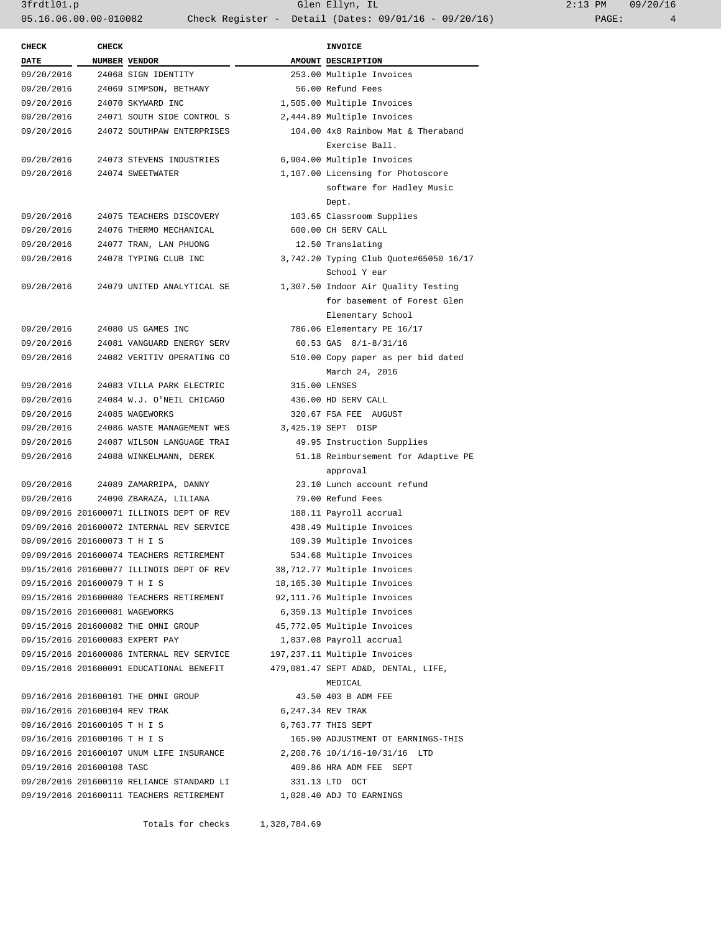3frdtl01.p Glen Ellyn, IL 2:13 PM 09/20/16 05.16.06.00.00-010082 Check Register - Detail (Dates: 09/01/16 - 09/20/16) PAGE: 4

| <b>CHECK</b>                   | <b>CHECK</b> |                                                                        | <b>INVOICE</b>                         |
|--------------------------------|--------------|------------------------------------------------------------------------|----------------------------------------|
| <b>DATE</b>                    |              | NUMBER VENDOR                                                          | AMOUNT DESCRIPTION                     |
| 09/20/2016                     |              | 24068 SIGN IDENTITY                                                    | 253.00 Multiple Invoices               |
| 09/20/2016                     |              | 24069 SIMPSON, BETHANY                                                 | 56.00 Refund Fees                      |
| 09/20/2016                     |              | 24070 SKYWARD INC                                                      | 1,505.00 Multiple Invoices             |
| 09/20/2016                     |              | 24071 SOUTH SIDE CONTROL S                                             | 2,444.89 Multiple Invoices             |
| 09/20/2016                     |              | 24072 SOUTHPAW ENTERPRISES                                             | 104.00 4x8 Rainbow Mat & Theraband     |
|                                |              |                                                                        | Exercise Ball.                         |
| 09/20/2016                     |              | 24073 STEVENS INDUSTRIES                                               | 6,904.00 Multiple Invoices             |
| 09/20/2016                     |              | 24074 SWEETWATER                                                       | 1,107.00 Licensing for Photoscore      |
|                                |              |                                                                        | software for Hadley Music              |
|                                |              |                                                                        | Dept.                                  |
| 09/20/2016                     |              | 24075 TEACHERS DISCOVERY                                               | 103.65 Classroom Supplies              |
| 09/20/2016                     |              | 24076 THERMO MECHANICAL                                                | 600.00 CH SERV CALL                    |
|                                |              | 09/20/2016 24077 TRAN, LAN PHUONG                                      | 12.50 Translating                      |
| 09/20/2016                     |              | 24078 TYPING CLUB INC                                                  | 3,742.20 Typing Club Quote#65050 16/17 |
|                                |              |                                                                        | School Y ear                           |
| 09/20/2016                     |              | 24079 UNITED ANALYTICAL SE                                             | 1,307.50 Indoor Air Quality Testing    |
|                                |              |                                                                        | for basement of Forest Glen            |
|                                |              |                                                                        | Elementary School                      |
| 09/20/2016                     |              | 24080 US GAMES INC                                                     | 786.06 Elementary PE 16/17             |
| 09/20/2016                     |              | 24081 VANGUARD ENERGY SERV                                             | 60.53 GAS 8/1-8/31/16                  |
| 09/20/2016                     |              | 24082 VERITIV OPERATING CO                                             | 510.00 Copy paper as per bid dated     |
|                                |              |                                                                        | March 24, 2016                         |
| 09/20/2016                     |              | 24083 VILLA PARK ELECTRIC                                              | 315.00 LENSES                          |
| 09/20/2016                     |              | 24084 W.J. O'NEIL CHICAGO                                              | 436.00 HD SERV CALL                    |
| 09/20/2016                     |              | 24085 WAGEWORKS                                                        | 320.67 FSA FEE AUGUST                  |
| 09/20/2016                     |              | 24086 WASTE MANAGEMENT WES                                             | 3,425.19 SEPT DISP                     |
| 09/20/2016                     |              | 24087 WILSON LANGUAGE TRAI                                             | 49.95 Instruction Supplies             |
| 09/20/2016                     |              | 24088 WINKELMANN, DEREK                                                | 51.18 Reimbursement for Adaptive PE    |
|                                |              |                                                                        | approval                               |
|                                |              | 09/20/2016 24089 ZAMARRIPA, DANNY                                      | 23.10 Lunch account refund             |
| 09/20/2016                     |              | 24090 ZBARAZA, LILIANA                                                 | 79.00 Refund Fees                      |
|                                |              | 09/09/2016 201600071 ILLINOIS DEPT OF REV                              | 188.11 Payroll accrual                 |
|                                |              | 09/09/2016 201600072 INTERNAL REV SERVICE                              | 438.49 Multiple Invoices               |
| 09/09/2016 201600073 T H I S   |              |                                                                        | 109.39 Multiple Invoices               |
|                                |              | 09/09/2016 201600074 TEACHERS RETIREMENT                               | 534.68 Multiple Invoices               |
|                                |              | 09/15/2016 201600077 ILLINOIS DEPT OF REV                              | 38,712.77 Multiple Invoices            |
| 09/15/2016 201600079 T H I S   |              |                                                                        | 18,165.30 Multiple Invoices            |
|                                |              | 09/15/2016 201600080 TEACHERS RETIREMENT                               | 92,111.76 Multiple Invoices            |
| 09/15/2016 201600081 WAGEWORKS |              |                                                                        | 6,359.13 Multiple Invoices             |
|                                |              | 09/15/2016 201600082 THE OMNI GROUP                                    | 45,772.05 Multiple Invoices            |
|                                |              | 09/15/2016 201600083 EXPERT PAY                                        | 1,837.08 Payroll accrual               |
|                                |              | 09/15/2016 201600086 INTERNAL REV SERVICE                              | 197,237.11 Multiple Invoices           |
|                                |              | 09/15/2016 201600091 EDUCATIONAL BENEFIT                               | 479,081.47 SEPT AD&D, DENTAL, LIFE,    |
|                                |              |                                                                        | MEDICAL                                |
|                                |              | 09/16/2016 201600101 THE OMNI GROUP                                    | 43.50 403 B ADM FEE                    |
| 09/16/2016 201600104 REV TRAK  |              |                                                                        | 6,247.34 REV TRAK                      |
| 09/16/2016 201600105 T H I S   |              |                                                                        | 6,763.77 THIS SEPT                     |
| 09/16/2016 201600106 T H I S   |              |                                                                        | 165.90 ADJUSTMENT OT EARNINGS-THIS     |
|                                |              | 09/16/2016 201600107 UNUM LIFE INSURANCE 2,208.76 10/1/16-10/31/16 LTD |                                        |
| 09/19/2016 201600108 TASC      |              |                                                                        | 409.86 HRA ADM FEE SEPT                |
|                                |              | 09/20/2016 201600110 RELIANCE STANDARD LI                              | 331.13 LTD OCT                         |
|                                |              | 09/19/2016 201600111 TEACHERS RETIREMENT                               | 1,028.40 ADJ TO EARNINGS               |
|                                |              |                                                                        |                                        |

Totals for checks 1,328,784.69